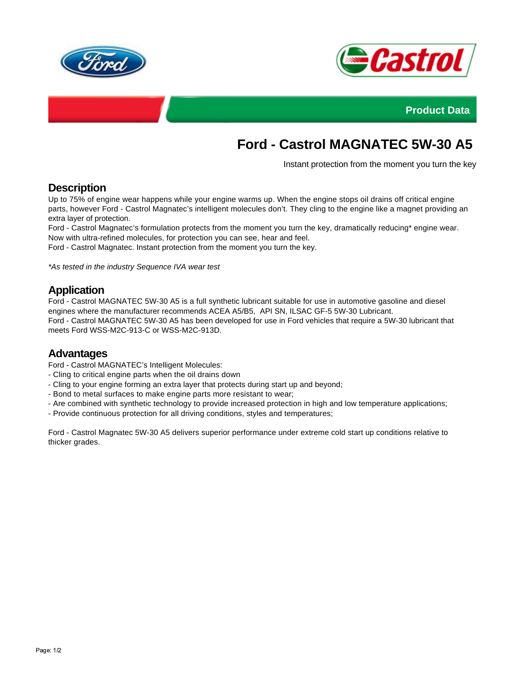



**Product Data**

# **Ford - Castrol MAGNATEC 5W-30 A5**

Instant protection from the moment you turn the key

#### **Description**

Up to 75% of engine wear happens while your engine warms up. When the engine stops oil drains off critical engine parts, however Ford - Castrol Magnatec's intelligent molecules don't. They cling to the engine like a magnet providing an extra layer of protection.

Ford - Castrol Magnatec's formulation protects from the moment you turn the key, dramatically reducing\* engine wear. Now with ultra-refined molecules, for protection you can see, hear and feel.

Ford - Castrol Magnatec. Instant protection from the moment you turn the key.

\*As tested in the industry Sequence IVA wear test

## **Application**

Ford - Castrol MAGNATEC 5W-30 A5 is a full synthetic lubricant suitable for use in automotive gasoline and diesel engines where the manufacturer recommends ACEA A5/B5, API SN, ILSAC GF-5 5W-30 Lubricant. Ford - Castrol MAGNATEC 5W-30 A5 has been developed for use in Ford vehicles that require a 5W-30 lubricant that meets Ford WSS-M2C-913-C or WSS-M2C-913D.

#### **Advantages**

Ford - Castrol MAGNATEC's Intelligent Molecules:

- Cling to critical engine parts when the oil drains down
- Cling to your engine forming an extra layer that protects during start up and beyond;
- Bond to metal surfaces to make engine parts more resistant to wear;
- Are combined with synthetic technology to provide increased protection in high and low temperature applications;
- Provide continuous protection for all driving conditions, styles and temperatures;

Ford - Castrol Magnatec 5W-30 A5 delivers superior performance under extreme cold start up conditions relative to thicker grades.